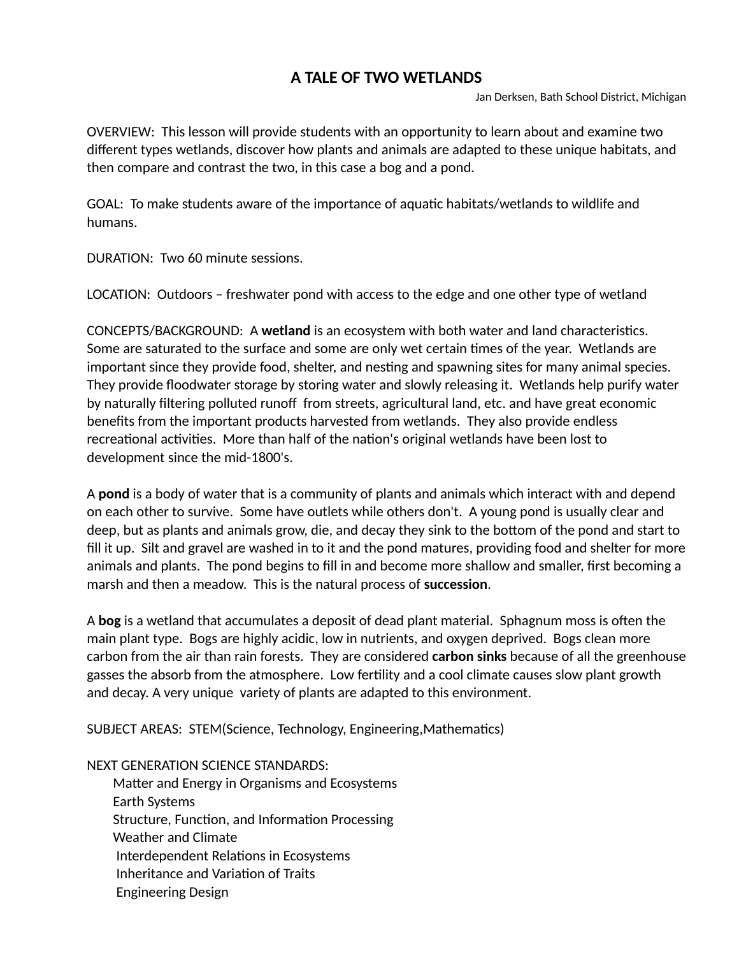## **A TALE OF TWO WETLANDS**

Jan Derksen, Bath School District, Michigan

OVERVIEW: This lesson will provide students with an opportunity to learn about and examine two different types wetlands, discover how plants and animals are adapted to these unique habitats, and then compare and contrast the two, in this case a bog and a pond.

GOAL: To make students aware of the importance of aquatic habitats/wetlands to wildlife and humans.

DURATION: Two 60 minute sessions.

LOCATION: Outdoors – freshwater pond with access to the edge and one other type of wetland

CONCEPTS/BACKGROUND: A wetland is an ecosystem with both water and land characteristics. Some are saturated to the surface and some are only wet certain times of the year. Wetlands are important since they provide food, shelter, and nesting and spawning sites for many animal species. They provide floodwater storage by storing water and slowly releasing it. Wetlands help purify water by naturally filtering polluted runoff from streets, agricultural land, etc. and have great economic benefits from the important products harvested from wetlands. They also provide endless recreational activities. More than half of the nation's original wetlands have been lost to development since the mid-1800's.

A **pond** is a body of water that is a community of plants and animals which interact with and depend on each other to survive. Some have outlets while others don't. A young pond is usually clear and deep, but as plants and animals grow, die, and decay they sink to the bottom of the pond and start to fill it up. Silt and gravel are washed in to it and the pond matures, providing food and shelter for more animals and plants. The pond begins to fill in and become more shallow and smaller, first becoming a marsh and then a meadow. This is the natural process of **succession**.

A **bog** is a wetland that accumulates a deposit of dead plant material. Sphagnum moss is often the main plant type. Bogs are highly acidic, low in nutrients, and oxygen deprived. Bogs clean more carbon from the air than rain forests. They are considered **carbon sinks** because of all the greenhouse gasses the absorb from the atmosphere. Low fertility and a cool climate causes slow plant growth and decay. A very unique variety of plants are adapted to this environment.

SUBJECT AREAS: STEM(Science, Technology, Engineering, Mathematics)

## NEXT GENERATION SCIENCE STANDARDS:

Matter and Energy in Organisms and Ecosystems Earth Systems Structure, Function, and Information Processing Weather and Climate Interdependent Relations in Ecosystems Inheritance and Variation of Traits Engineering Design